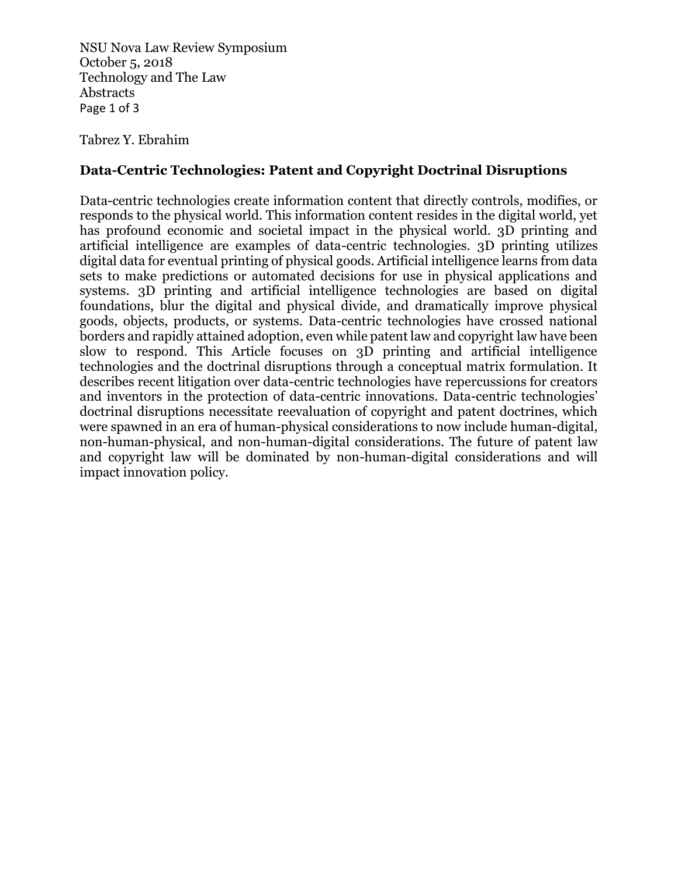NSU Nova Law Review Symposium October 5, 2018 Technology and The Law Abstracts Page 1 of 3

Tabrez Y. Ebrahim

## **Data-Centric Technologies: Patent and Copyright Doctrinal Disruptions**

Data-centric technologies create information content that directly controls, modifies, or responds to the physical world. This information content resides in the digital world, yet has profound economic and societal impact in the physical world. 3D printing and artificial intelligence are examples of data-centric technologies. 3D printing utilizes digital data for eventual printing of physical goods. Artificial intelligence learns from data sets to make predictions or automated decisions for use in physical applications and systems. 3D printing and artificial intelligence technologies are based on digital foundations, blur the digital and physical divide, and dramatically improve physical goods, objects, products, or systems. Data-centric technologies have crossed national borders and rapidly attained adoption, even while patent law and copyright law have been slow to respond. This Article focuses on 3D printing and artificial intelligence technologies and the doctrinal disruptions through a conceptual matrix formulation. It describes recent litigation over data-centric technologies have repercussions for creators and inventors in the protection of data-centric innovations. Data-centric technologies' doctrinal disruptions necessitate reevaluation of copyright and patent doctrines, which were spawned in an era of human-physical considerations to now include human-digital, non-human-physical, and non-human-digital considerations. The future of patent law and copyright law will be dominated by non-human-digital considerations and will impact innovation policy.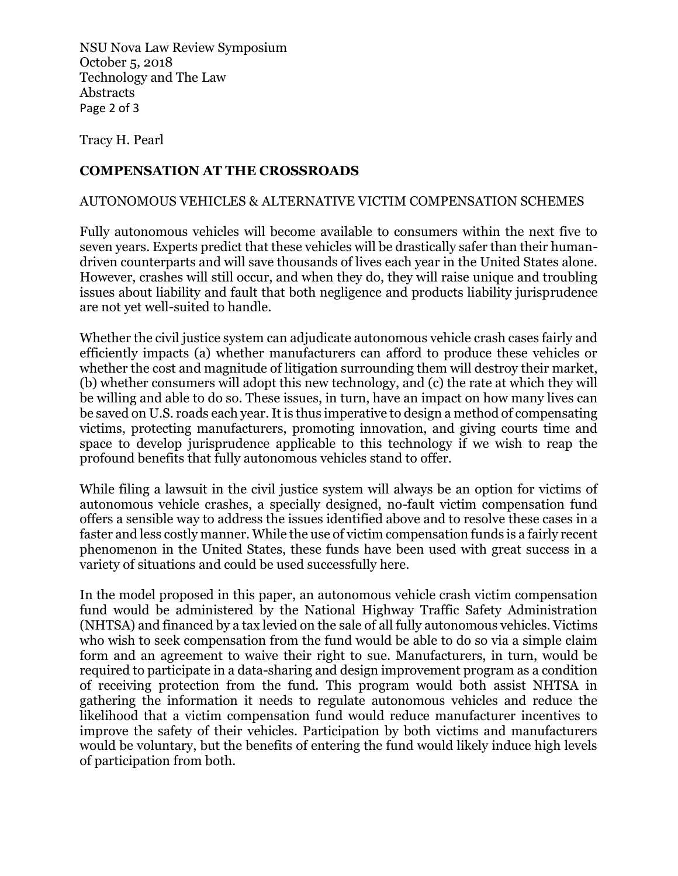NSU Nova Law Review Symposium October 5, 2018 Technology and The Law Abstracts Page 2 of 3

Tracy H. Pearl

## **COMPENSATION AT THE CROSSROADS**

## AUTONOMOUS VEHICLES & ALTERNATIVE VICTIM COMPENSATION SCHEMES

Fully autonomous vehicles will become available to consumers within the next five to seven years. Experts predict that these vehicles will be drastically safer than their humandriven counterparts and will save thousands of lives each year in the United States alone. However, crashes will still occur, and when they do, they will raise unique and troubling issues about liability and fault that both negligence and products liability jurisprudence are not yet well-suited to handle.

Whether the civil justice system can adjudicate autonomous vehicle crash cases fairly and efficiently impacts (a) whether manufacturers can afford to produce these vehicles or whether the cost and magnitude of litigation surrounding them will destroy their market, (b) whether consumers will adopt this new technology, and (c) the rate at which they will be willing and able to do so. These issues, in turn, have an impact on how many lives can be saved on U.S. roads each year. It is thus imperative to design a method of compensating victims, protecting manufacturers, promoting innovation, and giving courts time and space to develop jurisprudence applicable to this technology if we wish to reap the profound benefits that fully autonomous vehicles stand to offer.

While filing a lawsuit in the civil justice system will always be an option for victims of autonomous vehicle crashes, a specially designed, no-fault victim compensation fund offers a sensible way to address the issues identified above and to resolve these cases in a faster and less costly manner. While the use of victim compensation funds is a fairly recent phenomenon in the United States, these funds have been used with great success in a variety of situations and could be used successfully here.

In the model proposed in this paper, an autonomous vehicle crash victim compensation fund would be administered by the National Highway Traffic Safety Administration (NHTSA) and financed by a tax levied on the sale of all fully autonomous vehicles. Victims who wish to seek compensation from the fund would be able to do so via a simple claim form and an agreement to waive their right to sue. Manufacturers, in turn, would be required to participate in a data-sharing and design improvement program as a condition of receiving protection from the fund. This program would both assist NHTSA in gathering the information it needs to regulate autonomous vehicles and reduce the likelihood that a victim compensation fund would reduce manufacturer incentives to improve the safety of their vehicles. Participation by both victims and manufacturers would be voluntary, but the benefits of entering the fund would likely induce high levels of participation from both.